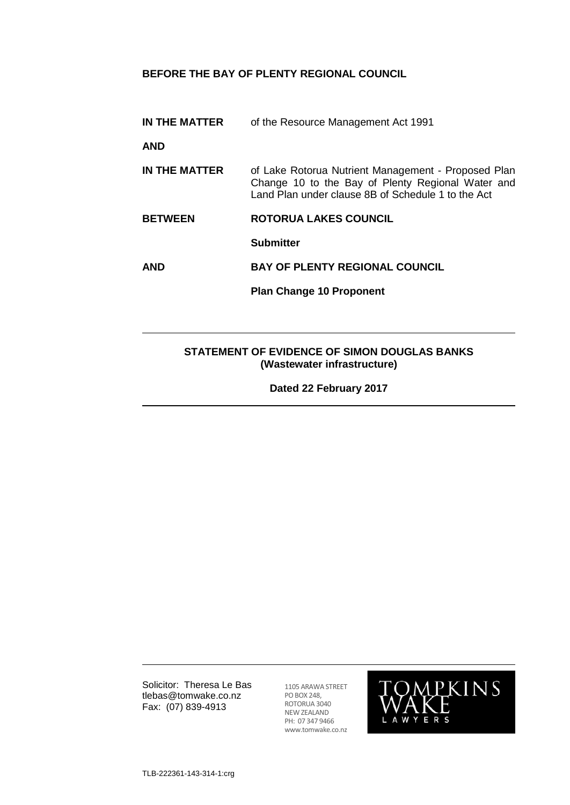# **BEFORE THE BAY OF PLENTY REGIONAL COUNCIL**

**IN THE MATTER** of the Resource Management Act 1991

**AND**

- **IN THE MATTER** of Lake Rotorua Nutrient Management Proposed Plan Change 10 to the Bay of Plenty Regional Water and Land Plan under clause 8B of Schedule 1 to the Act
- **BETWEEN ROTORUA LAKES COUNCIL**

**Submitter**

**AND BAY OF PLENTY REGIONAL COUNCIL**

**Plan Change 10 Proponent**

# **STATEMENT OF EVIDENCE OF SIMON DOUGLAS BANKS (Wastewater infrastructure)**

**Dated 22 February 2017**

Solicitor: Theresa Le Bas tlebas@tomwake.co.nz Fax: (07) 839-4913

1105 ARAWA STREET PO BOX 248, ROTORUA 3040 NEW ZEALAND PH: 07 347 9466 www.tomwake.co.nz

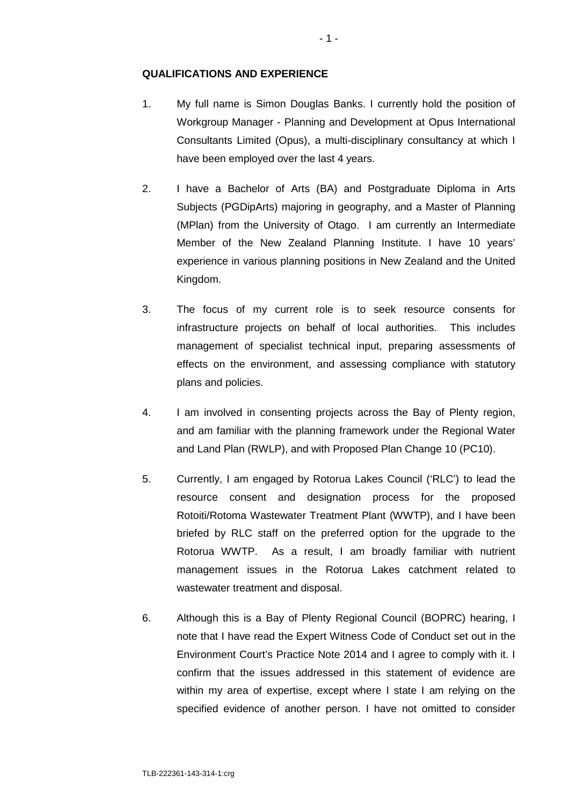# **QUALIFICATIONS AND EXPERIENCE**

- 1. My full name is Simon Douglas Banks. I currently hold the position of Workgroup Manager - Planning and Development at Opus International Consultants Limited (Opus), a multi-disciplinary consultancy at which I have been employed over the last 4 years.
- 2. I have a Bachelor of Arts (BA) and Postgraduate Diploma in Arts Subjects (PGDipArts) majoring in geography, and a Master of Planning (MPlan) from the University of Otago. I am currently an Intermediate Member of the New Zealand Planning Institute. I have 10 years' experience in various planning positions in New Zealand and the United Kingdom.
- 3. The focus of my current role is to seek resource consents for infrastructure projects on behalf of local authorities. This includes management of specialist technical input, preparing assessments of effects on the environment, and assessing compliance with statutory plans and policies.
- 4. I am involved in consenting projects across the Bay of Plenty region, and am familiar with the planning framework under the Regional Water and Land Plan (RWLP), and with Proposed Plan Change 10 (PC10).
- 5. Currently, I am engaged by Rotorua Lakes Council ('RLC') to lead the resource consent and designation process for the proposed Rotoiti/Rotoma Wastewater Treatment Plant (WWTP), and I have been briefed by RLC staff on the preferred option for the upgrade to the Rotorua WWTP. As a result, I am broadly familiar with nutrient management issues in the Rotorua Lakes catchment related to wastewater treatment and disposal.
- 6. Although this is a Bay of Plenty Regional Council (BOPRC) hearing, I note that I have read the Expert Witness Code of Conduct set out in the Environment Court's Practice Note 2014 and I agree to comply with it. I confirm that the issues addressed in this statement of evidence are within my area of expertise, except where I state I am relying on the specified evidence of another person. I have not omitted to consider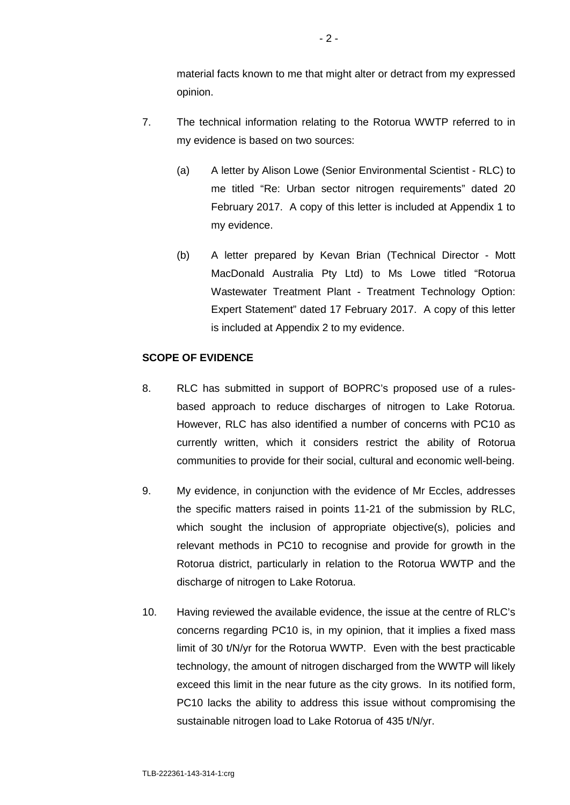material facts known to me that might alter or detract from my expressed opinion.

- 7. The technical information relating to the Rotorua WWTP referred to in my evidence is based on two sources:
	- (a) A letter by Alison Lowe (Senior Environmental Scientist RLC) to me titled "Re: Urban sector nitrogen requirements" dated 20 February 2017. A copy of this letter is included at Appendix 1 to my evidence.
	- (b) A letter prepared by Kevan Brian (Technical Director Mott MacDonald Australia Pty Ltd) to Ms Lowe titled "Rotorua Wastewater Treatment Plant - Treatment Technology Option: Expert Statement" dated 17 February 2017. A copy of this letter is included at Appendix 2 to my evidence.

## **SCOPE OF EVIDENCE**

- 8. RLC has submitted in support of BOPRC's proposed use of a rulesbased approach to reduce discharges of nitrogen to Lake Rotorua. However, RLC has also identified a number of concerns with PC10 as currently written, which it considers restrict the ability of Rotorua communities to provide for their social, cultural and economic well-being.
- 9. My evidence, in conjunction with the evidence of Mr Eccles, addresses the specific matters raised in points 11-21 of the submission by RLC, which sought the inclusion of appropriate objective(s), policies and relevant methods in PC10 to recognise and provide for growth in the Rotorua district, particularly in relation to the Rotorua WWTP and the discharge of nitrogen to Lake Rotorua.
- 10. Having reviewed the available evidence, the issue at the centre of RLC's concerns regarding PC10 is, in my opinion, that it implies a fixed mass limit of 30 t/N/yr for the Rotorua WWTP. Even with the best practicable technology, the amount of nitrogen discharged from the WWTP will likely exceed this limit in the near future as the city grows. In its notified form, PC10 lacks the ability to address this issue without compromising the sustainable nitrogen load to Lake Rotorua of 435 t/N/yr.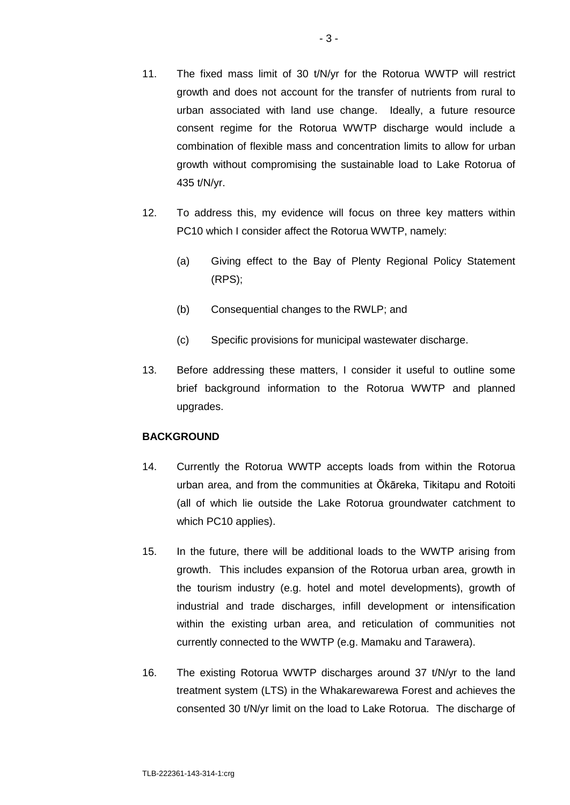- 11. The fixed mass limit of 30 t/N/yr for the Rotorua WWTP will restrict growth and does not account for the transfer of nutrients from rural to urban associated with land use change. Ideally, a future resource consent regime for the Rotorua WWTP discharge would include a combination of flexible mass and concentration limits to allow for urban growth without compromising the sustainable load to Lake Rotorua of 435 t/N/yr.
- 12. To address this, my evidence will focus on three key matters within PC10 which I consider affect the Rotorua WWTP, namely:
	- (a) Giving effect to the Bay of Plenty Regional Policy Statement (RPS);
	- (b) Consequential changes to the RWLP; and
	- (c) Specific provisions for municipal wastewater discharge.
- 13. Before addressing these matters, I consider it useful to outline some brief background information to the Rotorua WWTP and planned upgrades.

# **BACKGROUND**

- 14. Currently the Rotorua WWTP accepts loads from within the Rotorua urban area, and from the communities at Ōkāreka, Tikitapu and Rotoiti (all of which lie outside the Lake Rotorua groundwater catchment to which PC10 applies).
- 15. In the future, there will be additional loads to the WWTP arising from growth. This includes expansion of the Rotorua urban area, growth in the tourism industry (e.g. hotel and motel developments), growth of industrial and trade discharges, infill development or intensification within the existing urban area, and reticulation of communities not currently connected to the WWTP (e.g. Mamaku and Tarawera).
- 16. The existing Rotorua WWTP discharges around 37 t/N/yr to the land treatment system (LTS) in the Whakarewarewa Forest and achieves the consented 30 t/N/yr limit on the load to Lake Rotorua. The discharge of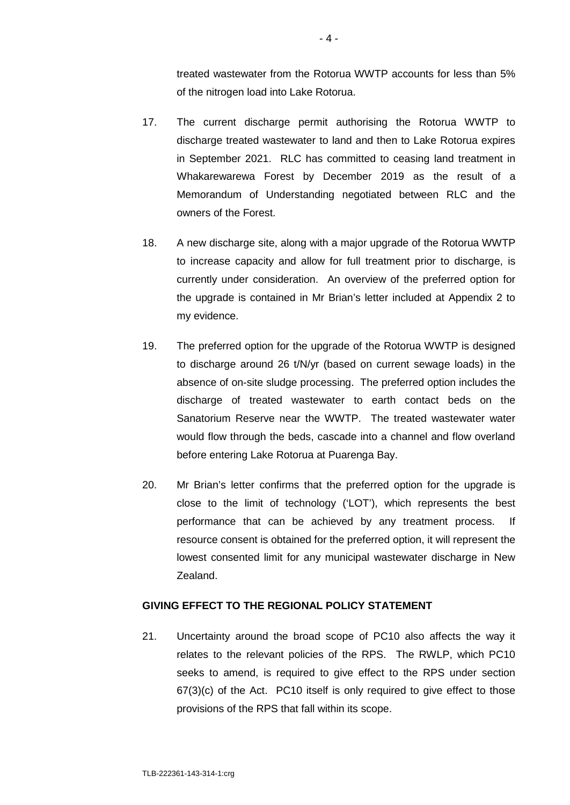treated wastewater from the Rotorua WWTP accounts for less than 5% of the nitrogen load into Lake Rotorua.

- 17. The current discharge permit authorising the Rotorua WWTP to discharge treated wastewater to land and then to Lake Rotorua expires in September 2021. RLC has committed to ceasing land treatment in Whakarewarewa Forest by December 2019 as the result of a Memorandum of Understanding negotiated between RLC and the owners of the Forest.
- 18. A new discharge site, along with a major upgrade of the Rotorua WWTP to increase capacity and allow for full treatment prior to discharge, is currently under consideration. An overview of the preferred option for the upgrade is contained in Mr Brian's letter included at Appendix 2 to my evidence.
- 19. The preferred option for the upgrade of the Rotorua WWTP is designed to discharge around 26 t/N/yr (based on current sewage loads) in the absence of on-site sludge processing. The preferred option includes the discharge of treated wastewater to earth contact beds on the Sanatorium Reserve near the WWTP. The treated wastewater water would flow through the beds, cascade into a channel and flow overland before entering Lake Rotorua at Puarenga Bay.
- 20. Mr Brian's letter confirms that the preferred option for the upgrade is close to the limit of technology ('LOT'), which represents the best performance that can be achieved by any treatment process. If resource consent is obtained for the preferred option, it will represent the lowest consented limit for any municipal wastewater discharge in New Zealand.

# **GIVING EFFECT TO THE REGIONAL POLICY STATEMENT**

21. Uncertainty around the broad scope of PC10 also affects the way it relates to the relevant policies of the RPS. The RWLP, which PC10 seeks to amend, is required to give effect to the RPS under section 67(3)(c) of the Act. PC10 itself is only required to give effect to those provisions of the RPS that fall within its scope.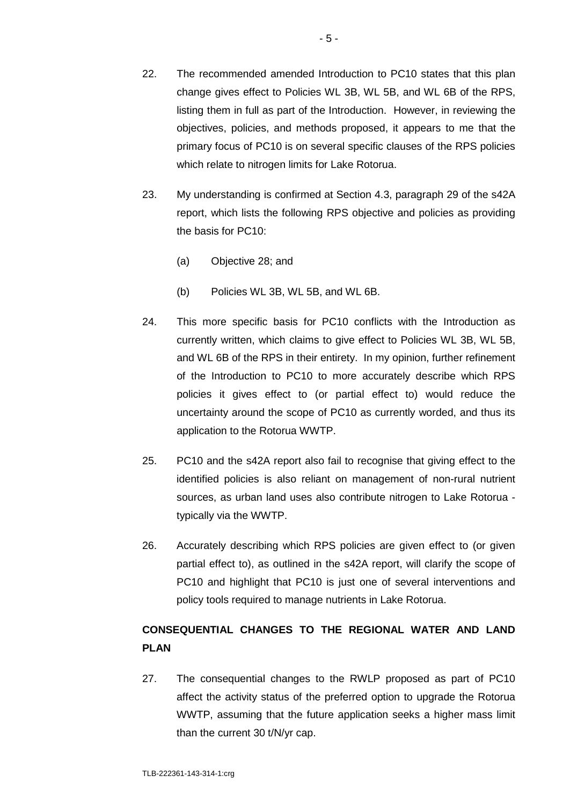- 22. The recommended amended Introduction to PC10 states that this plan change gives effect to Policies WL 3B, WL 5B, and WL 6B of the RPS, listing them in full as part of the Introduction. However, in reviewing the objectives, policies, and methods proposed, it appears to me that the primary focus of PC10 is on several specific clauses of the RPS policies which relate to nitrogen limits for Lake Rotorua.
- 23. My understanding is confirmed at Section 4.3, paragraph 29 of the s42A report, which lists the following RPS objective and policies as providing the basis for PC10:
	- (a) Objective 28; and
	- (b) Policies WL 3B, WL 5B, and WL 6B.
- 24. This more specific basis for PC10 conflicts with the Introduction as currently written, which claims to give effect to Policies WL 3B, WL 5B, and WL 6B of the RPS in their entirety. In my opinion, further refinement of the Introduction to PC10 to more accurately describe which RPS policies it gives effect to (or partial effect to) would reduce the uncertainty around the scope of PC10 as currently worded, and thus its application to the Rotorua WWTP.
- 25. PC10 and the s42A report also fail to recognise that giving effect to the identified policies is also reliant on management of non-rural nutrient sources, as urban land uses also contribute nitrogen to Lake Rotorua typically via the WWTP.
- 26. Accurately describing which RPS policies are given effect to (or given partial effect to), as outlined in the s42A report, will clarify the scope of PC10 and highlight that PC10 is just one of several interventions and policy tools required to manage nutrients in Lake Rotorua.

# **CONSEQUENTIAL CHANGES TO THE REGIONAL WATER AND LAND PLAN**

27. The consequential changes to the RWLP proposed as part of PC10 affect the activity status of the preferred option to upgrade the Rotorua WWTP, assuming that the future application seeks a higher mass limit than the current 30 t/N/yr cap.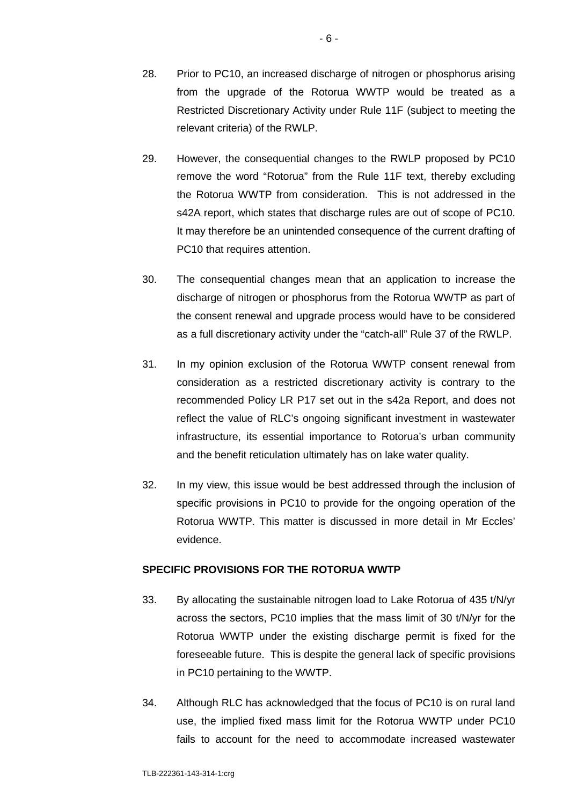- 29. However, the consequential changes to the RWLP proposed by PC10 remove the word "Rotorua" from the Rule 11F text, thereby excluding the Rotorua WWTP from consideration. This is not addressed in the s42A report, which states that discharge rules are out of scope of PC10. It may therefore be an unintended consequence of the current drafting of PC10 that requires attention.
- 30. The consequential changes mean that an application to increase the discharge of nitrogen or phosphorus from the Rotorua WWTP as part of the consent renewal and upgrade process would have to be considered as a full discretionary activity under the "catch-all" Rule 37 of the RWLP.
- 31. In my opinion exclusion of the Rotorua WWTP consent renewal from consideration as a restricted discretionary activity is contrary to the recommended Policy LR P17 set out in the s42a Report, and does not reflect the value of RLC's ongoing significant investment in wastewater infrastructure, its essential importance to Rotorua's urban community and the benefit reticulation ultimately has on lake water quality.
- 32. In my view, this issue would be best addressed through the inclusion of specific provisions in PC10 to provide for the ongoing operation of the Rotorua WWTP. This matter is discussed in more detail in Mr Eccles' evidence.

# **SPECIFIC PROVISIONS FOR THE ROTORUA WWTP**

- 33. By allocating the sustainable nitrogen load to Lake Rotorua of 435 t/N/yr across the sectors, PC10 implies that the mass limit of 30 t/N/yr for the Rotorua WWTP under the existing discharge permit is fixed for the foreseeable future. This is despite the general lack of specific provisions in PC10 pertaining to the WWTP.
- 34. Although RLC has acknowledged that the focus of PC10 is on rural land use, the implied fixed mass limit for the Rotorua WWTP under PC10 fails to account for the need to accommodate increased wastewater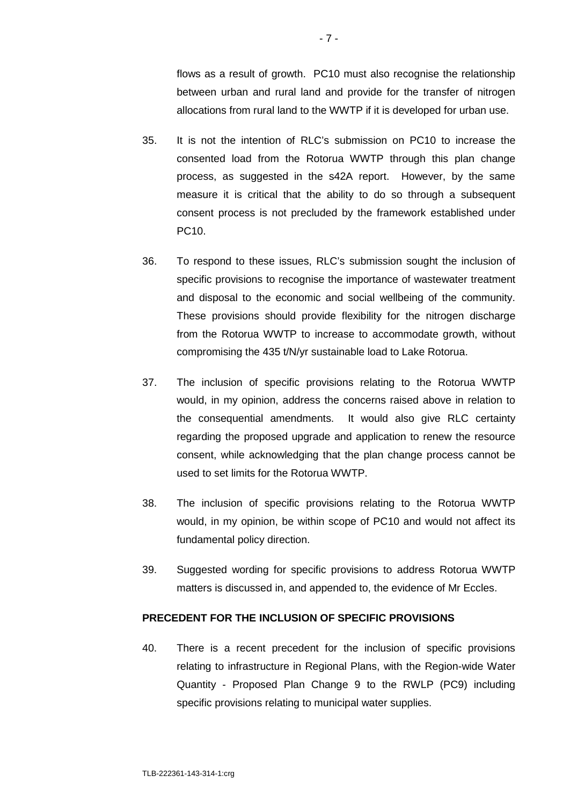flows as a result of growth. PC10 must also recognise the relationship between urban and rural land and provide for the transfer of nitrogen allocations from rural land to the WWTP if it is developed for urban use.

- 35. It is not the intention of RLC's submission on PC10 to increase the consented load from the Rotorua WWTP through this plan change process, as suggested in the s42A report. However, by the same measure it is critical that the ability to do so through a subsequent consent process is not precluded by the framework established under PC10.
- 36. To respond to these issues, RLC's submission sought the inclusion of specific provisions to recognise the importance of wastewater treatment and disposal to the economic and social wellbeing of the community. These provisions should provide flexibility for the nitrogen discharge from the Rotorua WWTP to increase to accommodate growth, without compromising the 435 t/N/yr sustainable load to Lake Rotorua.
- 37. The inclusion of specific provisions relating to the Rotorua WWTP would, in my opinion, address the concerns raised above in relation to the consequential amendments. It would also give RLC certainty regarding the proposed upgrade and application to renew the resource consent, while acknowledging that the plan change process cannot be used to set limits for the Rotorua WWTP.
- 38. The inclusion of specific provisions relating to the Rotorua WWTP would, in my opinion, be within scope of PC10 and would not affect its fundamental policy direction.
- 39. Suggested wording for specific provisions to address Rotorua WWTP matters is discussed in, and appended to, the evidence of Mr Eccles.

# **PRECEDENT FOR THE INCLUSION OF SPECIFIC PROVISIONS**

40. There is a recent precedent for the inclusion of specific provisions relating to infrastructure in Regional Plans, with the Region-wide Water Quantity - Proposed Plan Change 9 to the RWLP (PC9) including specific provisions relating to municipal water supplies.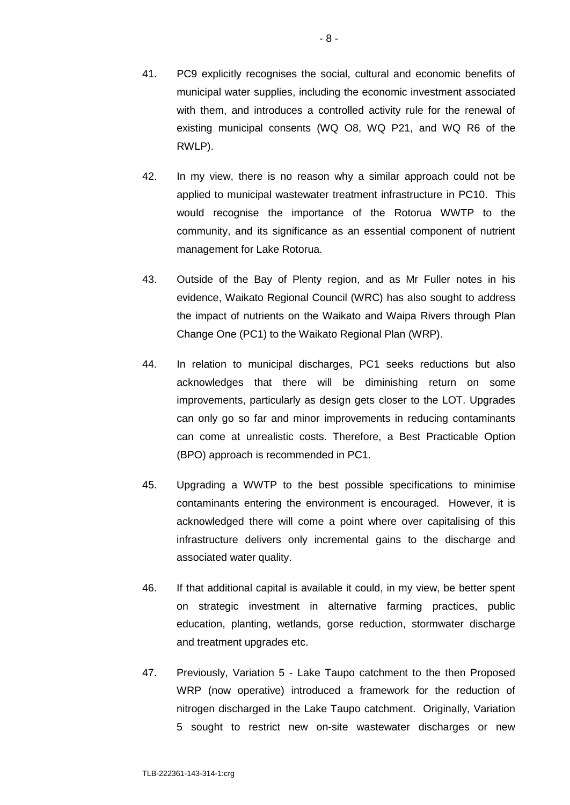- 42. In my view, there is no reason why a similar approach could not be applied to municipal wastewater treatment infrastructure in PC10. This would recognise the importance of the Rotorua WWTP to the community, and its significance as an essential component of nutrient management for Lake Rotorua.
- 43. Outside of the Bay of Plenty region, and as Mr Fuller notes in his evidence, Waikato Regional Council (WRC) has also sought to address the impact of nutrients on the Waikato and Waipa Rivers through Plan Change One (PC1) to the Waikato Regional Plan (WRP).
- 44. In relation to municipal discharges, PC1 seeks reductions but also acknowledges that there will be diminishing return on some improvements, particularly as design gets closer to the LOT. Upgrades can only go so far and minor improvements in reducing contaminants can come at unrealistic costs. Therefore, a Best Practicable Option (BPO) approach is recommended in PC1.
- 45. Upgrading a WWTP to the best possible specifications to minimise contaminants entering the environment is encouraged. However, it is acknowledged there will come a point where over capitalising of this infrastructure delivers only incremental gains to the discharge and associated water quality.
- 46. If that additional capital is available it could, in my view, be better spent on strategic investment in alternative farming practices, public education, planting, wetlands, gorse reduction, stormwater discharge and treatment upgrades etc.
- 47. Previously, Variation 5 Lake Taupo catchment to the then Proposed WRP (now operative) introduced a framework for the reduction of nitrogen discharged in the Lake Taupo catchment. Originally, Variation 5 sought to restrict new on-site wastewater discharges or new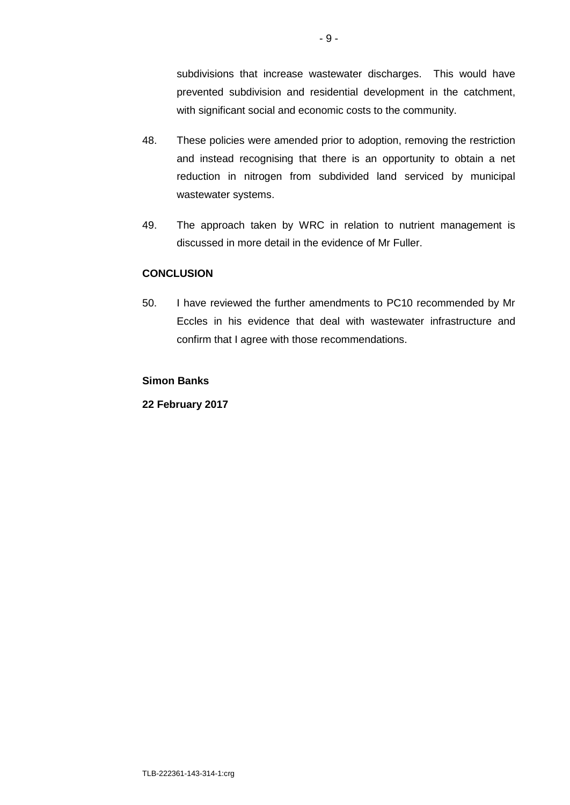subdivisions that increase wastewater discharges. This would have prevented subdivision and residential development in the catchment, with significant social and economic costs to the community.

- 48. These policies were amended prior to adoption, removing the restriction and instead recognising that there is an opportunity to obtain a net reduction in nitrogen from subdivided land serviced by municipal wastewater systems.
- 49. The approach taken by WRC in relation to nutrient management is discussed in more detail in the evidence of Mr Fuller.

# **CONCLUSION**

50. I have reviewed the further amendments to PC10 recommended by Mr Eccles in his evidence that deal with wastewater infrastructure and confirm that I agree with those recommendations.

# **Simon Banks**

**22 February 2017**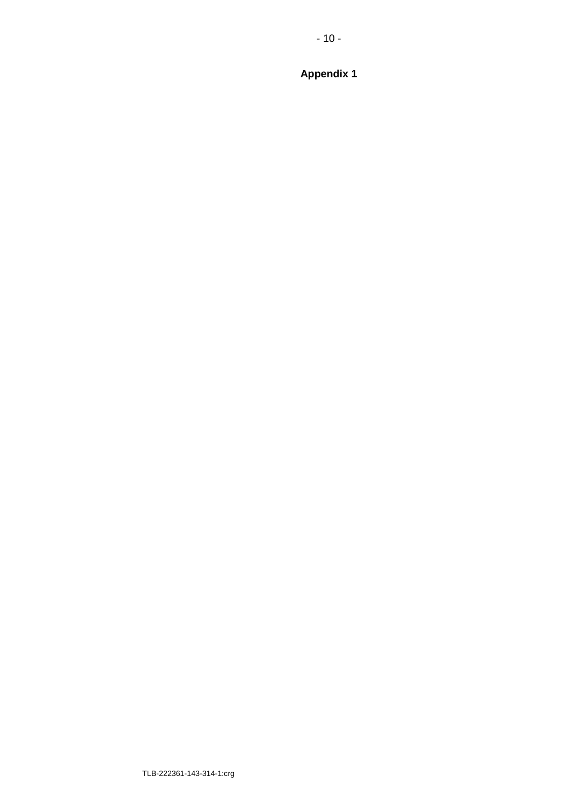$-10-$ 

**Appendix 1**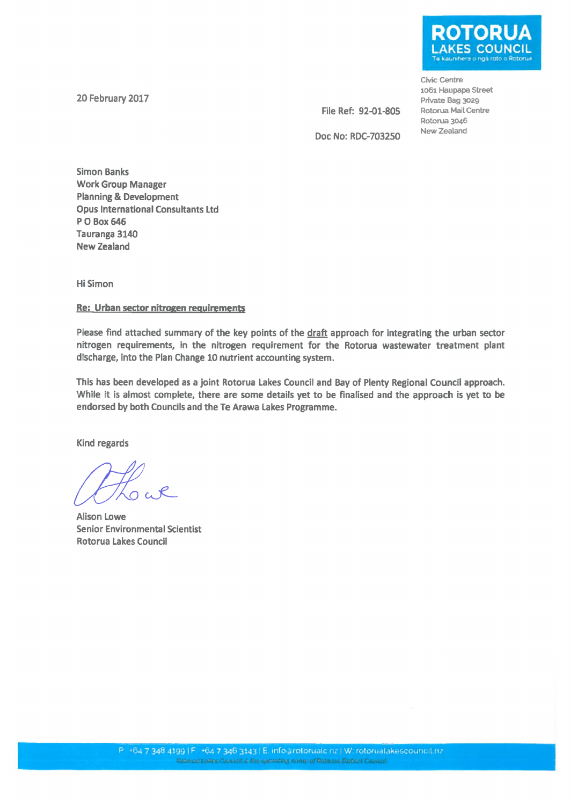20 February 2017

**KES COUNCIL** 

Civic Centre 1061 Haupapa Street Private Bag 3029 Rotorua Mail Centre Rotorua 3046 New Zealand

File Ref: 92-01-805 Doc No: RDC-703250

**Simon Banks Work Group Manager Planning & Development Opus International Consultants Ltd** P O Box 646 Tauranga 3140 **New Zealand** 

**Hi Simon** 

### Re: Urban sector nitrogen requirements

Please find attached summary of the key points of the draft approach for integrating the urban sector nitrogen requirements, in the nitrogen requirement for the Rotorua wastewater treatment plant discharge, into the Plan Change 10 nutrient accounting system.

This has been developed as a joint Rotorua Lakes Council and Bay of Plenty Regional Council approach. While it is almost complete, there are some details yet to be finalised and the approach is yet to be endorsed by both Councils and the Te Arawa Lakes Programme.

Kind regards

**Alison Lowe Senior Environmental Scientist Rotorua Lakes Council**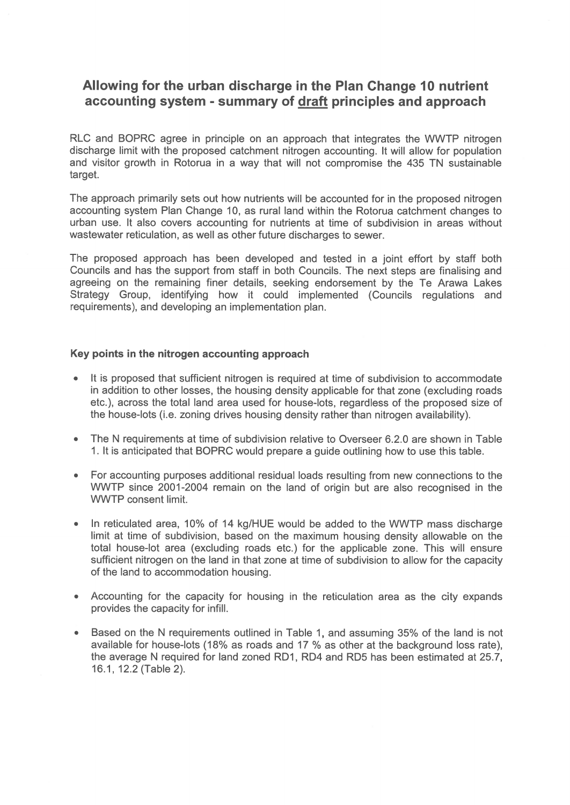# Allowing for the urban discharge in the Plan Change 10 nutrient accounting system - summary of draft principles and approach

RLC and BOPRC agree in principle on an approach that integrates the WWTP nitrogen discharge limit with the proposed catchment nitrogen accounting. It will allow for population and visitor growth in Rotorua in a way that will not compromise the 435 TN sustainable target.

The approach primarily sets out how nutrients will be accounted for in the proposed nitrogen accounting system Plan Change 10, as rural land within the Rotorua catchment changes to urban use. It also covers accounting for nutrients at time of subdivision in areas without wastewater reticulation, as well as other future discharges to sewer.

The proposed approach has been developed and tested in a joint effort by staff both Councils and has the support from staff in both Councils. The next steps are finalising and agreeing on the remaining finer details, seeking endorsement by the Te Arawa Lakes Strategy Group, identifying how it could implemented (Councils regulations and requirements), and developing an implementation plan.

### Key points in the nitrogen accounting approach

- It is proposed that sufficient nitrogen is required at time of subdivision to accommodate in addition to other losses, the housing density applicable for that zone (excluding roads etc.), across the total land area used for house-lots, regardless of the proposed size of the house-lots (i.e. zoning drives housing density rather than nitrogen availability).
- The N requirements at time of subdivision relative to Overseer 6.2.0 are shown in Table  $\bullet$ 1. It is anticipated that BOPRC would prepare a guide outlining how to use this table.
- For accounting purposes additional residual loads resulting from new connections to the WWTP since 2001-2004 remain on the land of origin but are also recognised in the **WWTP** consent limit.
- In reticulated area, 10% of 14 kg/HUE would be added to the WWTP mass discharge limit at time of subdivision, based on the maximum housing density allowable on the total house-lot area (excluding roads etc.) for the applicable zone. This will ensure sufficient nitrogen on the land in that zone at time of subdivision to allow for the capacity of the land to accommodation housing.
- Accounting for the capacity for housing in the reticulation area as the city expands  $\bullet$ provides the capacity for infill.
- Based on the N requirements outlined in Table 1, and assuming 35% of the land is not available for house-lots (18% as roads and 17 % as other at the background loss rate), the average N required for land zoned RD1, RD4 and RD5 has been estimated at 25.7, 16.1, 12.2 (Table 2).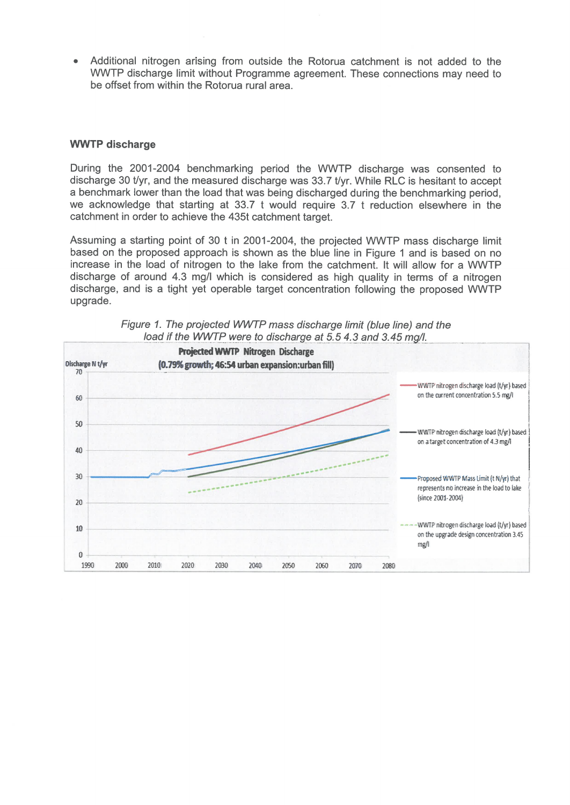Additional nitrogen arising from outside the Rotorua catchment is not added to the WWTP discharge limit without Programme agreement. These connections may need to be offset from within the Rotorua rural area.

### **WWTP discharge**

During the 2001-2004 benchmarking period the WWTP discharge was consented to discharge 30 t/yr, and the measured discharge was 33.7 t/yr. While RLC is hesitant to accept a benchmark lower than the load that was being discharged during the benchmarking period. we acknowledge that starting at 33.7 t would require 3.7 t reduction elsewhere in the catchment in order to achieve the 435t catchment target.

Assuming a starting point of 30 t in 2001-2004, the projected WWTP mass discharge limit based on the proposed approach is shown as the blue line in Figure 1 and is based on no increase in the load of nitrogen to the lake from the catchment. It will allow for a WWTP discharge of around 4.3 mg/l which is considered as high quality in terms of a nitrogen discharge, and is a tight yet operable target concentration following the proposed WWTP upgrade.



Figure 1. The projected WWTP mass discharge limit (blue line) and the load if the WWTP were to discharge at 5.5 4.3 and 3.45 mg/l.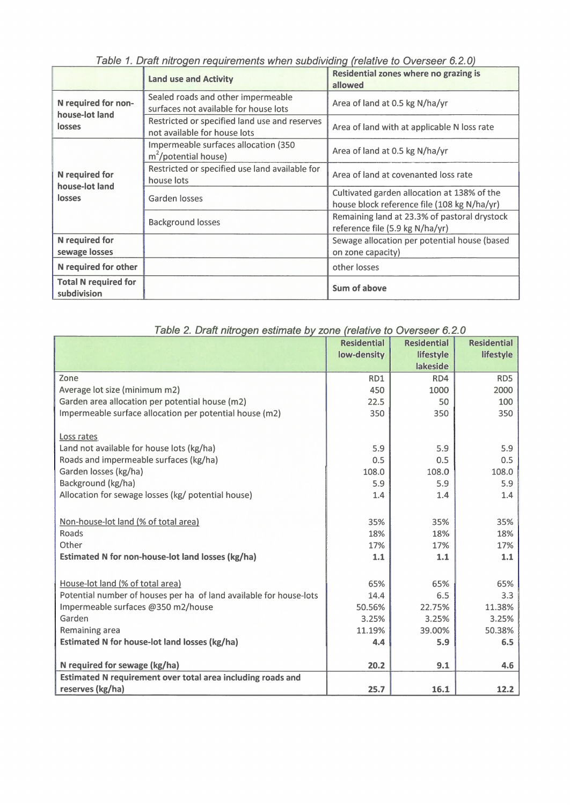| Table T. Drait Hill Uyeri Teyuli chights Wileh Suburviully trelative to OverSect 0.2.07 |                                                                               |                                                                                            |  |  |
|-----------------------------------------------------------------------------------------|-------------------------------------------------------------------------------|--------------------------------------------------------------------------------------------|--|--|
|                                                                                         | <b>Land use and Activity</b>                                                  | <b>Residential zones where no grazing is</b><br>allowed                                    |  |  |
| N required for non-<br>house-lot land<br>losses                                         | Sealed roads and other impermeable<br>surfaces not available for house lots   | Area of land at 0.5 kg N/ha/yr                                                             |  |  |
|                                                                                         | Restricted or specified land use and reserves<br>not available for house lots | Area of land with at applicable N loss rate                                                |  |  |
| N required for<br>house-lot land<br>losses                                              | Impermeable surfaces allocation (350<br>$m^2$ /potential house)               | Area of land at 0.5 kg N/ha/yr                                                             |  |  |
|                                                                                         | Restricted or specified use land available for<br>house lots                  | Area of land at covenanted loss rate                                                       |  |  |
|                                                                                         | Garden losses                                                                 | Cultivated garden allocation at 138% of the<br>house block reference file (108 kg N/ha/yr) |  |  |
|                                                                                         | <b>Background losses</b>                                                      | Remaining land at 23.3% of pastoral drystock<br>reference file (5.9 kg N/ha/yr)            |  |  |
| <b>N</b> required for<br>sewage losses                                                  |                                                                               | Sewage allocation per potential house (based<br>on zone capacity)                          |  |  |
| N required for other                                                                    |                                                                               | other losses                                                                               |  |  |
| <b>Total N required for</b><br>subdivision                                              |                                                                               | Sum of above                                                                               |  |  |

Table 1. Draft nitrogen requirements when subdividing (relative to Overseer 6.2.0)

| Table 2. Draft nitrogen estimate by zone (relative to Overseer 6.2.0 |                    |                    |                    |  |
|----------------------------------------------------------------------|--------------------|--------------------|--------------------|--|
|                                                                      | <b>Residential</b> | <b>Residential</b> | <b>Residential</b> |  |
|                                                                      | low-density        | lifestyle          | lifestyle          |  |
|                                                                      |                    | lakeside           |                    |  |
| Zone                                                                 | RD1                | RD4                | RD5                |  |
| Average lot size (minimum m2)                                        | 450                | 1000               | 2000               |  |
| Garden area allocation per potential house (m2)                      | 22.5               | 50                 | 100                |  |
| Impermeable surface allocation per potential house (m2)              | 350                | 350                | 350                |  |
| Loss rates                                                           |                    |                    |                    |  |
| Land not available for house lots (kg/ha)                            | 5.9                | 5.9                | 5.9                |  |
| Roads and impermeable surfaces (kg/ha)                               | 0.5                | 0.5                | 0.5                |  |
| Garden losses (kg/ha)                                                | 108.0              | 108.0              | 108.0              |  |
| Background (kg/ha)                                                   | 5.9                | 5.9                | 5.9                |  |
| Allocation for sewage losses (kg/ potential house)                   | 1.4                | 1.4                | 1.4                |  |
| Non-house-lot land (% of total area)                                 | 35%                | 35%                | 35%                |  |
| Roads                                                                | 18%                | 18%                | 18%                |  |
| Other                                                                | 17%                | 17%                | 17%                |  |
| Estimated N for non-house-lot land losses (kg/ha)                    | $1.1$              | 1.1                | 1.1                |  |
|                                                                      |                    |                    |                    |  |
| House-lot land (% of total area)                                     | 65%                | 65%                | 65%                |  |
| Potential number of houses per ha of land available for house-lots   | 14.4               | 6.5                | 3.3                |  |
| Impermeable surfaces @350 m2/house                                   | 50.56%             | 22.75%             | 11.38%             |  |
| Garden                                                               | 3.25%              | 3.25%              | 3.25%              |  |
| Remaining area                                                       | 11.19%             | 39.00%             | 50.38%             |  |
| Estimated N for house-lot land losses (kg/ha)                        | 4.4                | 5.9                | 6.5                |  |
| N required for sewage (kg/ha)                                        | 20.2               | 9.1                | 4.6                |  |
| Estimated N requirement over total area including roads and          |                    |                    |                    |  |
| reserves (kg/ha)                                                     | 25.7               | 16.1               | 12.2               |  |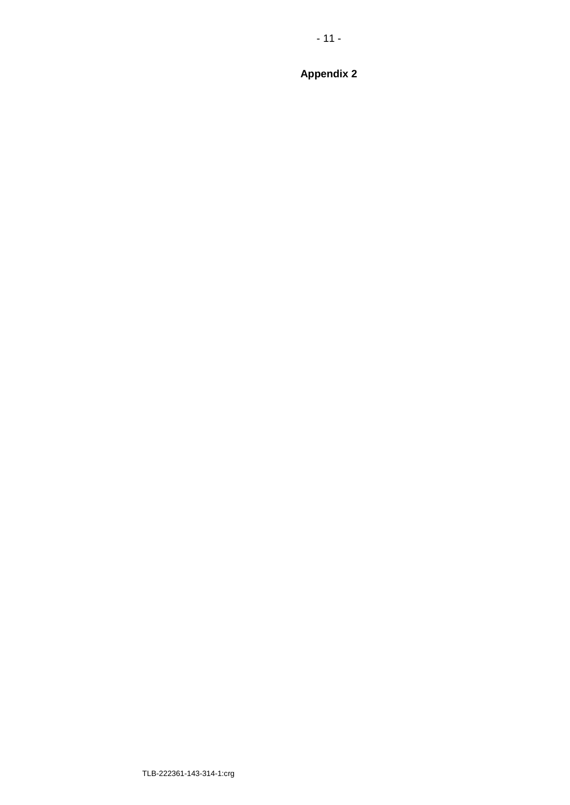$-11-$ 

**Appendix 2**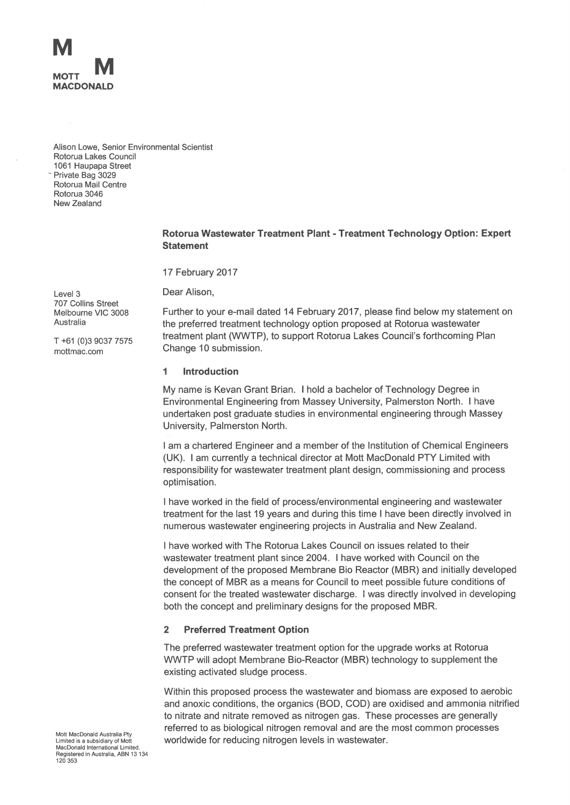

Alison Lowe, Senior Environmental Scientist Rotorua Lakes Council 1061 Haupapa Street Private Bag 3029 Rotorua Mail Centre Rotorua 3046 New Zealand

#### Rotorua Wastewater Treatment Plant - Treatment Technology Option: Expert **Statement**

17 February 2017

Dear Alison,

Further to your e-mail dated 14 February 2017, please find below my statement on the preferred treatment technology option proposed at Rotorua wastewater treatment plant (WWTP), to support Rotorua Lakes Council's forthcoming Plan Change 10 submission.

#### 1 Introduction

My name is Kevan Grant Brian. I hold a bachelor of Technology Degree in Environmental Engineering from Massey University, Palmerston North. I have undertaken post graduate studies in environmental engineering through Massey University, Palmerston North.

I am a chartered Engineer and a member of the Institution of Chemical Engineers (UK). I am currently a technical director at Mott MacDonald PTY Limited with responsibility for wastewater treatment plant design, commissioning and process optimisation.

I have worked in the field of process/environmental engineering and wastewater treatment for the last 19 years and during this time I have been directly involved in numerous wastewater engineering projects in Australia and New Zealand.

I have worked with The Rotorua Lakes Council on issues related to their wastewater treatment plant since 2004. I have worked with Council on the development of the proposed Membrane Bio Reactor (MBR) and initially developed the concept of MBR as a means for Council to meet possible future conditions of consent for the treated wastewater discharge. I was directly involved in developing both the concept and preliminary designs for the proposed MBR.

#### **Preferred Treatment Option**  $\overline{2}$

The preferred wastewater treatment option for the upgrade works at Rotorua WWTP will adopt Membrane Bio-Reactor (MBR) technology to supplement the existing activated sludge process.

Within this proposed process the wastewater and biomass are exposed to aerobic and anoxic conditions, the organics (BOD, COD) are oxidised and ammonia nitrified to nitrate and nitrate removed as nitrogen gas. These processes are generally referred to as biological nitrogen removal and are the most common processes worldwide for reducing nitrogen levels in wastewater.

 $I$  evel 3 707 Collins Street Melbourne VIC 3008 Australia

T +61 (0)3 9037 7575 mottmac.com

Mott MacDonald Australia Pty Limited is a subsidiary of Mott MacDonald International Limited Registered in Australia, ABN 13 134 120 353